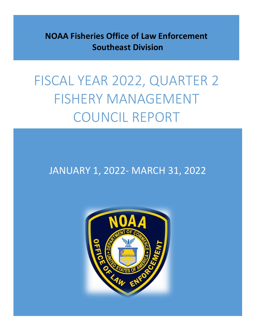**NOAA Fisheries Office of Law Enforcement Southeast Division**

# FISCAL YEAR 2022, QUARTER 2 FISHERY MANAGEMENT COUNCIL REPORT

### JANUARY 1, 2022- MARCH 31, 2022

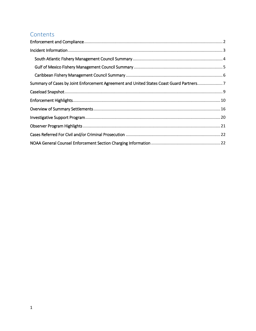#### Contents

| Summary of Cases by Joint Enforcement Agreement and United States Coast Guard Partners7 |  |
|-----------------------------------------------------------------------------------------|--|
|                                                                                         |  |
|                                                                                         |  |
|                                                                                         |  |
|                                                                                         |  |
|                                                                                         |  |
|                                                                                         |  |
|                                                                                         |  |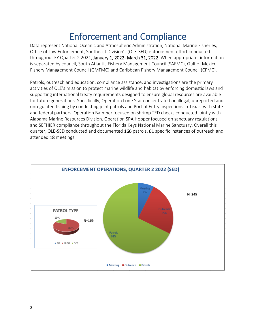# <span id="page-2-0"></span>**Enforcement and Compliance**<br>Data represent National Oceanic and Atmospheric Administration, National Marine Fisheries,

Office of Law Enforcement, Southeast Division's (OLE-SED) enforcement effort conducted throughout FY Quarter 2 2021, January 1, 2022- March 31, 2022. When appropriate, information is separated by council, South Atlantic Fishery Management Council (SAFMC), Gulf of Mexico Fishery Management Council (GMFMC) and Caribbean Fishery Management Council (CFMC).

Patrols, outreach and education, compliance assistance, and investigations are the primary activities of OLE's mission to protect marine wildlife and habitat by enforcing domestic laws and supporting international treaty requirements designed to ensure global resources are available for future generations. Specifically, Operation Lone Star concentrated on illegal, unreported and unregulated fishing by conducting joint patrols and Port of Entry inspections in Texas, with state and federal partners. Operation Bammer focused on shrimp TED checks conducted jointly with Alabama Marine Resources Division. Operation SPA Hopper focused on sanctuary regulations and SEFHIER compliance throughout the Florida Keys National Marine Sanctuary. Overall this quarter, OLE-SED conducted and documented 166 patrols, 61 specific instances of outreach and attended 18 meetings.

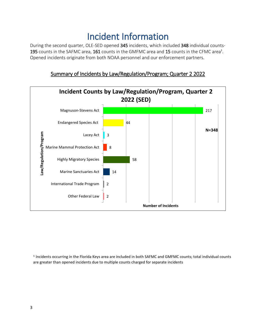### Incident Information

<span id="page-3-0"></span>During the second quarter, OLE-SED opened 345 incidents, which included 348 individual counts-195 counts in the SAFMC area, 161 counts in the GMFMC area and 15 counts in the CFMC area<sup>1</sup>. Opened incidents originate from both NOAA personnel and our enforcement partners.





<sup>1</sup> Incidents occurring in the Florida Keys area are included in both SAFMC and GMFMC counts; total individual counts are greater than opened incidents due to multiple counts charged for separate incidents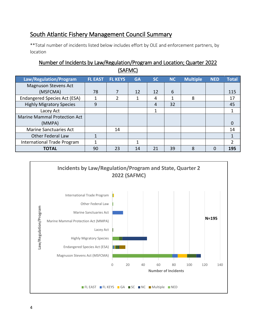#### <span id="page-4-0"></span>South Atlantic Fishery Management Council Summary

\*\*Total number of incidents listed below includes effort by OLE and enforcement partners, by location

#### Number of Incidents by Law/Regulation/Program and Location; Quarter 2022 (SAFMC)

| Law/Regulation/Program              | <b>FL EAST</b> | <b>FL KEYS</b> | <b>GA</b> | <b>SC</b> | <b>NC</b> | <b>Multiple</b> | <b>NED</b> | <b>Total</b> |
|-------------------------------------|----------------|----------------|-----------|-----------|-----------|-----------------|------------|--------------|
| <b>Magnuson Stevens Act</b>         |                |                |           |           |           |                 |            |              |
| (MSFCMA)                            | 78             | 7              | 12        | 12        | 6         |                 |            | 115          |
| <b>Endangered Species Act (ESA)</b> |                | 2              |           | 4         | 1         | 8               |            | 17           |
| <b>Highly Migratory Species</b>     | 9              |                |           | 4         | 32        |                 |            | 45           |
| Lacey Act                           |                |                |           | 1         |           |                 |            |              |
| <b>Marine Mammal Protection Act</b> |                |                |           |           |           |                 |            |              |
| (MMPA)                              |                |                |           |           |           |                 |            | 0            |
| <b>Marine Sanctuaries Act</b>       |                | 14             |           |           |           |                 |            | 14           |
| <b>Other Federal Law</b>            | 1              |                |           |           |           |                 |            |              |
| International Trade Program         | 1              |                | 1         |           |           |                 |            | 2            |
| <b>TOTAL</b>                        | 90             | 23             | 14        | 21        | 39        | 8               | 0          | 195          |

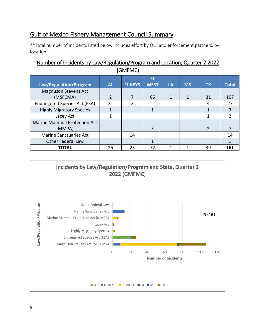#### <span id="page-5-0"></span>Gulf of Mexico Fishery Management Council Summary

\*\*Total number of incidents listed below includes effort by OLE and enforcement partners, by location

#### Number of Incidents by Law/Regulation/Program and Location; Quarter 2 2022 (GMFMC)

|                                     |           |                | FL.         |              |           |               |              |
|-------------------------------------|-----------|----------------|-------------|--------------|-----------|---------------|--------------|
| Law/Regulation/Program              | <b>AL</b> | <b>FL KEYS</b> | <b>WEST</b> | LA           | <b>MS</b> | <b>TX</b>     | <b>Total</b> |
| <b>Magnuson Stevens Act</b>         |           |                |             |              |           |               |              |
| (MSFCMA)                            | 2         |                | 65          | $\mathbf{1}$ | 1         | 31            | 107          |
| <b>Endangered Species Act (ESA)</b> | 21        | 2              |             |              |           | 4             | 27           |
| <b>Highly Migratory Species</b>     |           |                | 1           |              |           |               | 3            |
| Lacey Act                           | 1         |                |             |              |           |               | 2            |
| <b>Marine Mammal Protection Act</b> |           |                |             |              |           |               |              |
| (MMPA)                              |           |                | 5           |              |           | $\mathcal{P}$ |              |
| <b>Marine Sanctuaries Act</b>       |           | 14             |             |              |           |               | 14           |
| <b>Other Federal Law</b>            |           |                |             |              |           |               |              |
| <b>TOTAL</b>                        | 25        | 23             | 72          | 1            | 1         | 39            | 161          |

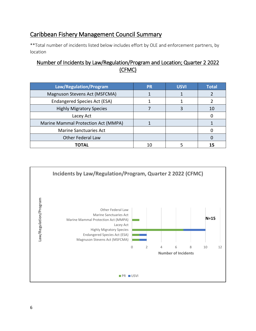#### <span id="page-6-0"></span>Caribbean Fishery Management Council Summary

\*\*Total number of incidents listed below includes effort by OLE and enforcement partners, by location

#### Number of Incidents by Law/Regulation/Program and Location; Quarter 2 2022 (CFMC)

| Law/Regulation/Program              | <b>PR</b> | <b>USVI</b> | <b>Total</b> |
|-------------------------------------|-----------|-------------|--------------|
| Magnuson Stevens Act (MSFCMA)       |           |             |              |
| Endangered Species Act (ESA)        |           |             |              |
| <b>Highly Migratory Species</b>     |           |             | 10           |
| Lacey Act                           |           |             |              |
| Marine Mammal Protection Act (MMPA) |           |             |              |
| <b>Marine Sanctuaries Act</b>       |           |             |              |
| <b>Other Federal Law</b>            |           |             |              |
| <b>TOTAL</b>                        | 10        |             |              |

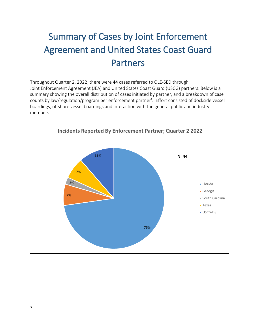# <span id="page-7-0"></span>Summary of Cases by Joint Enforcement Agreement and United States Coast Guard Partners

Throughout Quarter 2, 2022, there were 44 cases referred to OLE-SED through Joint Enforcement Agreement (JEA) and United States Coast Guard (USCG) partners. Below is a summary showing the overall distribution of cases initiated by partner, and a breakdown of case counts by law/regulation/program per enforcement partner<sup>1</sup>. Effort consisted of dockside vessel boardings, offshore vessel boardings and interaction with the general public and industry members.

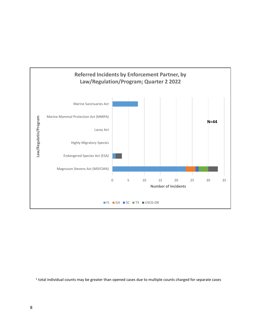

<sup>1</sup> total individual counts may be greater than opened cases due to multiple counts charged for separate cases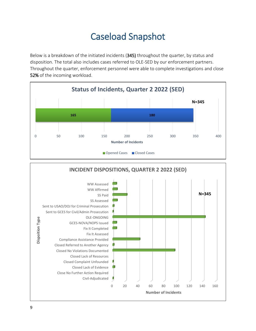## Caseload Snapshot

<span id="page-9-0"></span>Below is a breakdown of the initiated incidents (345) throughout the quarter, by status and disposition. The total also includes cases referred to OLE-SED by our enforcement partners. Throughout the quarter, enforcement personnel were able to complete investigations and close 52% of the incoming workload.

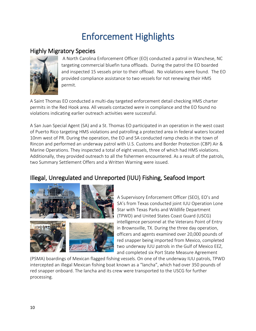# Enforcement Highlights

#### <span id="page-10-0"></span>Highly Migratory Species



 A North Carolina Enforcement Officer (EO) conducted a patrol in Wanchese, NC targeting commercial bluefin tuna offloads. During the patrol the EO boarded and inspected 15 vessels prior to their offload. No violations were found. The EO provided compliance assistance to two vessels for not renewing their HMS permit.

A Saint Thomas EO conducted a multi-day targeted enforcement detail checking HMS charter permits in the Red Hook area. All vessels contacted were in compliance and the EO found no violations indicating earlier outreach activities were successful.

A San Juan Special Agent (SA) and a St. Thomas EO participated in an operation in the west coast of Puerto Rico targeting HMS violations and patrolling a protected area in federal waters located 10nm west of PR. During the operation, the EO and SA conducted ramp checks in the town of Rincon and performed an underway patrol with U.S. Customs and Border Protection (CBP) Air & Marine Operations. They inspected a total of eight vessels, three of which had HMS violations. Additionally, they provided outreach to all the fishermen encountered. As a result of the patrols, two Summary Settlement Offers and a Written Warning were issued.

#### Illegal, Unregulated and Unreported (IUU) Fishing, Seafood Import





A Supervisory Enforcement Officer (SEO), EO's and SA's from Texas conducted joint IUU Operation Lone Star with Texas Parks and Wildlife Department (TPWD) and United States Coast Guard (USCG) intelligence personnel at the Veterans Point of Entry in Brownsville, TX. During the three day operation, officers and agents examined over 20,000 pounds of red snapper being imported from Mexico, completed two underway IUU patrols in the Gulf of Mexico EEZ, and completed six Port State Measure Agreement

(PSMA) boardings of Mexican flagged fishing vessels. On one of the underway IUU patrols, TPWD intercepted an illegal Mexican fishing boat known as a "lancha", which had over 350 pounds of red snapper onboard. The lancha and its crew were transported to the USCG for further processing.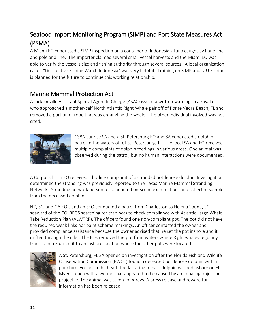#### Seafood Import Monitoring Program (SIMP) and Port State Measures Act (PSMA)

A Miami EO conducted a SIMP inspection on a container of Indonesian Tuna caught by hand line and pole and line. The importer claimed several small vessel harvests and the Miami EO was able to verify the vessel's size and fishing authority through several sources. A local organization called "Destructive Fishing Watch Indonesia" was very helpful. Training on SIMP and IUU Fishing is planned for the future to continue this working relationship.

#### Marine Mammal Protection Act

A Jacksonville Assistant Special Agent In Charge (ASAC) issued a written warning to a kayaker who approached a mother/calf North Atlantic Right Whale pair off of Ponte Vedra Beach, FL and removed a portion of rope that was entangling the whale. The other individual involved was not cited.



138A Sunrise SA and a St. Petersburg EO and SA conducted a dolphin patrol in the waters off of St. Petersburg, FL. The local SA and EO received multiple complaints of dolphin feedings in various areas. One animal was observed during the patrol, but no human interactions were documented.

A Corpus Christi EO received a hotline complaint of a stranded bottlenose dolphin. Investigation determined the stranding was previously reported to the Texas Marine Mammal Stranding Network. Stranding network personnel conducted on-scene examinations and collected samples from the deceased dolphin.

NC, SC, and GA EO's and an SEO conducted a patrol from Charleston to Helena Sound, SC seaward of the COLREGS searching for crab pots to check compliance with Atlantic Large Whale Take Reduction Plan (ALWTRP). The officers found one non-compliant pot. The pot did not have the required weak links nor paint scheme markings. An officer contacted the owner and provided compliance assistance because the owner advised that he set the pot inshore and it drifted through the inlet. The EOs removed the pot from waters where Right whales regularly transit and returned it to an inshore location where the other pots were located.



A St. Petersburg, FL SA opened an investigation after the Florida Fish and Wildlife Conservation Commission (FWCC) found a deceased bottlenose dolphin with a puncture wound to the head. The lactating female dolphin washed ashore on Ft. Myers beach with a wound that appeared to be caused by an impaling object or projectile. The animal was taken for x-rays. A press release and reward for information has been released.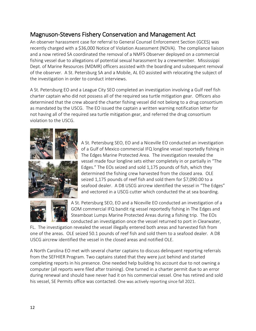#### Magnuson-Stevens Fishery Conservation and Management Act

An observer harassment case for referral to General Counsel Enforcement Section (GCES) was recently charged with a \$36,000 Notice of Violation Assessment (NOVA). The compliance liaison and a now retired SA coordinated the removal of a NMFS Observer deployed on a commercial fishing vessel due to allegations of potential sexual harassment by a crewmember. Mississippi Dept. of Marine Resources (MDMR) officers assisted with the boarding and subsequent removal of the observer. A St. Petersburg SA and a Mobile, AL EO assisted with relocating the subject of the investigation in order to conduct interviews.

A St. Petersburg EO and a League City SEO completed an investigation involving a Gulf reef fish charter captain who did not possess all of the required sea turtle mitigation gear. Officers also determined that the crew aboard the charter fishing vessel did not belong to a drug consortium as mandated by the USCG. The EO issued the captain a written warning notification letter for not having all of the required sea turtle mitigation gear, and referred the drug consortium violation to the USCG.



A St. Petersburg SEO, EO and a Niceville EO conducted an investigation of a Gulf of Mexico commercial IFQ longline vessel reportedly fishing in The Edges Marine Protected Area. The investigation revealed the vessel made four longline sets either completely in or partially in "The Edges." The EOs seized and sold 1,175 pounds of fish, which they determined the fishing crew harvested from the closed area. OLE seized 1,175 pounds of reef fish and sold them for \$7,090.00 to a seafood dealer. A D8 USCG aircrew identified the vessel in "The Edges" and vectored in a USCG cutter which conducted the at sea boarding.



A St. Petersburg SEO, EO and a Niceville EO conducted an investigation of a GOM commercial IFQ bandit rig vessel reportedly fishing in The Edges and Steamboat Lumps Marine Protected Areas during a fishing trip. The EOs conducted an investigation once the vessel returned to port in Clearwater,

FL. The investigation revealed the vessel illegally entered both areas and harvested fish from one of the areas. OLE seized 50.1 pounds of reef fish and sold them to a seafood dealer. A D8 USCG aircrew identified the vessel in the closed areas and notified OLE.

A North Carolina EO met with several charter captains to discuss delinquent reporting referrals from the SEFHIER Program. Two captains stated that they were just behind and started completing reports in his presence. One needed help building his account due to not owning a computer (all reports were filed after training). One turned in a charter permit due to an error during renewal and should have never had it on his commercial vessel. One has retired and sold his vessel, SE Permits office was contacted. One was actively reporting since fall 2021.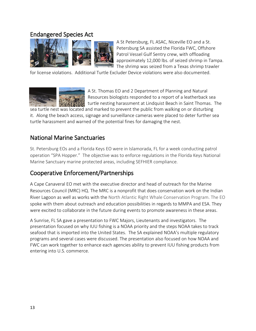#### Endangered Species Act



A St Petersburg, FL ASAC, Niceville EO and a St. Petersburg SA assisted the Florida FWC, Offshore Patrol Vessel Gulf Sentry crew, with offloading approximately 12,000 lbs. of seized shrimp in Tampa. The shrimp was seized from a Texas shrimp trawler

for license violations. Additional Turtle Excluder Device violations were also documented.



A St. Thomas EO and 2 Department of Planning and Natural Resources biologists responded to a report of a leatherback sea turtle nesting harassment at Lindquist Beach in Saint Thomas. The

sea turtle nest was located and marked to prevent the public from walking on or disturbing it. Along the beach access, signage and surveillance cameras were placed to deter further sea turtle harassment and warned of the potential fines for damaging the nest.

#### National Marine Sanctuaries

St. Petersburg EOs and a Florida Keys EO were in Islamorada, FL for a week conducting patrol operation "SPA Hopper." The objective was to enforce regulations in the Florida Keys National Marine Sanctuary marine protected areas, including SEFHIER compliance.

#### Cooperative Enforcement/Partnerships

A Cape Canaveral EO met with the executive director and head of outreach for the Marine Resources Council (MRC) HQ. The MRC is a nonprofit that does conservation work on the Indian River Lagoon as well as works with the North Atlantic Right Whale Conservation Program. The EO spoke with them about outreach and education possibilities in regards to MMPA and ESA. They were excited to collaborate in the future during events to promote awareness in these areas.

A Sunrise, FL SA gave a presentation to FWC Majors, Lieutenants and investigators. The presentation focused on why IUU fishing is a NOAA priority and the steps NOAA takes to track seafood that is imported into the United States. The SA explained NOAA's multiple regulatory programs and several cases were discussed. The presentation also focused on how NOAA and FWC can work together to enhance each agencies ability to prevent IUU fishing products from entering into U.S. commerce.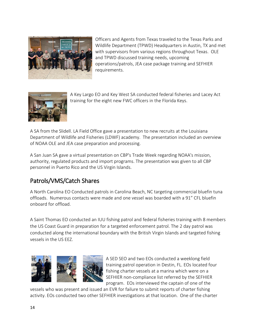

Officers and Agents from Texas traveled to the Texas Parks and Wildlife Department (TPWD) Headquarters in Austin, TX and met with supervisors from various regions throughout Texas. OLE and TPWD discussed training needs, upcoming operations/patrols, JEA case package training and SEFHIER requirements.



A Key Largo EO and Key West SA conducted federal fisheries and Lacey Act training for the eight new FWC officers in the Florida Keys.

A SA from the Slidell. LA Field Office gave a presentation to new recruits at the Louisiana Department of Wildlife and Fisheries (LDWF) academy. The presentation included an overview of NOAA OLE and JEA case preparation and processing.

A San Juan SA gave a virtual presentation on CBP's Trade Week regarding NOAA's mission, authority, regulated products and import programs. The presentation was given to all CBP personnel in Puerto Rico and the US Virgin Islands.

#### Patrols/VMS/Catch Shares

A North Carolina EO Conducted patrols in Carolina Beach, NC targeting commercial bluefin tuna offloads. Numerous contacts were made and one vessel was boarded with a 91" CFL bluefin onboard for offload.

A Saint Thomas EO conducted an IUU fishing patrol and federal fisheries training with 8 members the US Coast Guard in preparation for a targeted enforcement patrol. The 2 day patrol was conducted along the international boundary with the British Virgin Islands and targeted fishing vessels in the US EEZ.



A SED SEO and two EOs conducted a weeklong field training patrol operation in Destin, FL. EOs located four fishing charter vessels at a marina which were on a SEFHIER non-compliance list referred by the SEFHIER program. EOs interviewed the captain of one of the

vessels who was present and issued an EVR for failure to submit reports of charter fishing activity. EOs conducted two other SEFHIER investigations at that location. One of the charter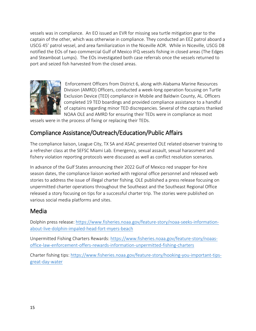vessels was in compliance. An EO issued an EVR for missing sea turtle mitigation gear to the captain of the other, which was otherwise in compliance. They conducted an EEZ patrol aboard a USCG 45' patrol vessel, and area familiarization in the Niceville AOR. While in Niceville, USCG D8 notified the EOs of two commercial Gulf of Mexico IFQ vessels fishing in closed areas (The Edges and Steamboat Lumps). The EOs investigated both case referrals once the vessels returned to port and seized fish harvested from the closed areas.



 Enforcement Officers from District 6, along with Alabama Marine Resources Division (AMRD) Officers, conducted a week-long operation focusing on Turtle Exclusion Device (TED) compliance in Mobile and Baldwin County, AL. Officers completed 19 TED boardings and provided compliance assistance to a handful of captains regarding minor TED discrepancies. Several of the captains thanked NOAA OLE and AMRD for ensuring their TEDs were in compliance as most

vessels were in the process of fixing or replacing their TEDs.

#### Compliance Assistance/Outreach/Education/Public Affairs

The compliance liaison, League City, TX SA and ASAC presented OLE related observer training to a refresher class at the SEFSC Miami Lab. Emergency, sexual assault, sexual harassment and fishery violation reporting protocols were discussed as well as conflict resolution scenarios.

In advance of the Gulf States announcing their 2022 Gulf of Mexico red snapper for-hire season dates, the compliance liaison worked with regional office personnel and released web stories to address the issue of illegal charter fishing. OLE published a press release focusing on unpermitted charter operations throughout the Southeast and the Southeast Regional Office released a story focusing on tips for a successful charter trip. The stories were published on various social media platforms and sites.

#### Media

Dolphin press release: [https://www.fisheries.noaa.gov/feature-story/noaa-seeks-information](https://www.fisheries.noaa.gov/feature-story/noaa-seeks-information-about-live-dolphin-impaled-head-fort-myers-beach)[about-live-dolphin-impaled-head-fort-myers-beach](https://www.fisheries.noaa.gov/feature-story/noaa-seeks-information-about-live-dolphin-impaled-head-fort-myers-beach)

Unpermitted Fishing Charters Rewards: [https://www.fisheries.noaa.gov/feature-story/noaas](https://www.fisheries.noaa.gov/feature-story/noaas-office-law-enforcement-offers-rewards-information-unpermitted-fishing-charters)[office-law-enforcement-offers-rewards-information-unpermitted-fishing-charters](https://www.fisheries.noaa.gov/feature-story/noaas-office-law-enforcement-offers-rewards-information-unpermitted-fishing-charters)

Charter fishing tips: [https://www.fisheries.noaa.gov/feature-story/hooking-you-important-tips](https://www.fisheries.noaa.gov/feature-story/hooking-you-important-tips-great-day-water)[great-day-water](https://www.fisheries.noaa.gov/feature-story/hooking-you-important-tips-great-day-water)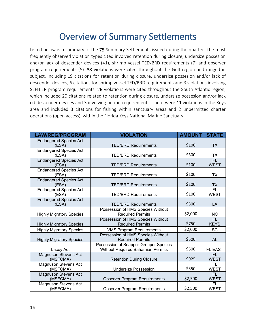### Overview of Summary Settlements

<span id="page-16-0"></span>Listed below is a summary of the 75 Summary Settlements issued during the quarter. The most frequently observed violation types cited involved retention during closure, undersize possesion and/or lack of descender devices (41), shrimp vessel TED/BRD requirements (7) and observer program requirements (5). 38 violations were cited throughout the Gulf region and ranged in subject, including 19 citations for retention during closure, undersize possesion and/or lack of descender devices, 6 citations for shrimp vessel TED/BRD requirements and 3 violations involving SEFHIER program requirements. 26 violations were cited throughout the South Atlantic region, which included 20 citations related to retention during closure, undersize possesion and/or lack od descender devices and 3 involving permit requirements. There were 11 violations in the Keys area and included 3 citations for fishing within sanctuary areas and 2 unpermitted charter operations (open access), within the Florida Keys National Marine Sanctuary

| <b>LAW/REG/PROGRAM</b>                  | <b>VIOLATION</b>                                                           | <b>AMOUNT</b> | <b>STATE</b>                   |
|-----------------------------------------|----------------------------------------------------------------------------|---------------|--------------------------------|
| <b>Endangered Species Act</b>           |                                                                            | \$100         |                                |
| (ESA)                                   | <b>TED/BRD Requirements</b>                                                |               | <b>TX</b>                      |
| <b>Endangered Species Act</b><br>(ESA)  | <b>TED/BRD Requirements</b>                                                | \$300         | TX                             |
| <b>Endangered Species Act</b><br>(ESA)  | <b>TED/BRD Requirements</b>                                                | \$100         | $\overline{FL}$<br><b>WEST</b> |
| <b>Endangered Species Act</b><br>(ESA)  | <b>TED/BRD Requirements</b>                                                | \$100         | <b>TX</b>                      |
| <b>Endangered Species Act</b><br>(ESA)  | <b>TED/BRD Requirements</b>                                                | \$100         | <b>TX</b>                      |
| <b>Endangered Species Act</b><br>(ESA)  | <b>TED/BRD Requirements</b>                                                | \$100         | $\overline{FL}$<br><b>WEST</b> |
| <b>Endangered Species Act</b><br>(ESA)  | <b>TED/BRD Requirements</b>                                                | \$300         | LA                             |
| <b>Highly Migratory Species</b>         | Possession of HMS Species Without<br><b>Required Permits</b>               | \$2,000       | NC.                            |
| <b>Highly Migratory Species</b>         | Possession of HMS Species Without<br><b>Required Permits</b>               | \$750         | FL<br><b>KEYS</b>              |
| <b>Highly Migratory Species</b>         | <b>VMS Program Requirements</b>                                            | \$2,000       | <b>SC</b>                      |
| <b>Highly Migratory Species</b>         | Possession of HMS Species Without<br><b>Required Permits</b>               | \$500         | AL                             |
| Lacey Act                               | Possession of Snapper-Grouper Species<br>Without Required Bahamian Permits | \$500         | <b>FL EAST</b>                 |
| <b>Magnuson Stevens Act</b><br>(MSFCMA) | <b>Retention During Closure</b>                                            | \$925         | FL.<br><b>WEST</b>             |
| <b>Magnuson Stevens Act</b><br>(MSFCMA) | <b>Undersize Possession</b>                                                | \$350         | FL.<br><b>WEST</b>             |
| <b>Magnuson Stevens Act</b><br>(MSFCMA) | <b>Observer Program Requirements</b>                                       | \$2,500       | FL.<br><b>WEST</b>             |
| <b>Magnuson Stevens Act</b><br>(MSFCMA) | <b>Observer Program Requirements</b>                                       | \$2,500       | FL.<br><b>WEST</b>             |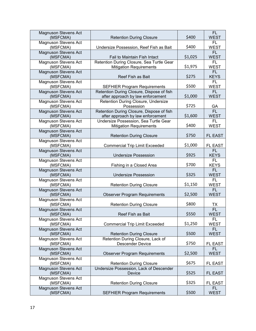| <b>Magnuson Stevens Act</b>             |                                                                                  |         | FL.                         |
|-----------------------------------------|----------------------------------------------------------------------------------|---------|-----------------------------|
| (MSFCMA)                                | <b>Retention During Closure</b>                                                  | \$400   | <b>WEST</b>                 |
| <b>Magnuson Stevens Act</b><br>(MSFCMA) | Undersize Possession, Reef Fish as Bait                                          | \$400   | FL.<br><b>WEST</b>          |
| <b>Magnuson Stevens Act</b><br>(MSFCMA) | Fail to Maintain Fish Intact                                                     | \$1,025 | FL.<br><b>WEST</b>          |
| <b>Magnuson Stevens Act</b>             | Retention During Closure, Sea Turtle Gear                                        |         | FL.                         |
| (MSFCMA)                                | <b>Mitigation Requirements</b>                                                   | \$1,975 | <b>WEST</b>                 |
| <b>Magnuson Stevens Act</b><br>(MSFCMA) | Reef Fish as Bait                                                                | \$275   | FL.<br><b>KEYS</b>          |
| <b>Magnuson Stevens Act</b>             |                                                                                  | \$500   | FL<br><b>WEST</b>           |
| (MSFCMA)<br><b>Magnuson Stevens Act</b> | <b>SEFHIER Program Requirements</b><br>Retention During Closure, Dispose of fish |         | FL.                         |
| (MSFCMA)                                | after approach by law enforcement                                                | \$1,000 | <b>WEST</b>                 |
| <b>Magnuson Stevens Act</b><br>(MSFCMA) | Retention During Closure, Undersize<br>Possession                                | \$725   | GA                          |
| <b>Magnuson Stevens Act</b>             | Retention During Closure, Dispose of fish                                        |         | FL                          |
| (MSFCMA)<br><b>Magnuson Stevens Act</b> | after approach by law enforcement<br>Undersize Possession, Sea Turtle Gear       | \$1,600 | <b>WEST</b><br>FL.          |
| (MSFCMA)                                | <b>Mitigation Requirements</b>                                                   | \$400   | <b>WEST</b>                 |
| <b>Magnuson Stevens Act</b><br>(MSFCMA) | <b>Retention During Closure</b>                                                  | \$750   | <b>FL EAST</b>              |
| <b>Magnuson Stevens Act</b>             |                                                                                  |         |                             |
| (MSFCMA)                                | <b>Commercial Trip Limit Exceeded</b>                                            | \$1,000 | <b>FL EAST</b><br><b>FL</b> |
| <b>Magnuson Stevens Act</b><br>(MSFCMA) | <b>Undersize Possession</b>                                                      | \$925   | <b>KEYS</b>                 |
| <b>Magnuson Stevens Act</b><br>(MSFCMA) | Fishing in a Closed Area                                                         | \$700   | FL.<br><b>KEYS</b>          |
| <b>Magnuson Stevens Act</b><br>(MSFCMA) | <b>Undersize Possession</b>                                                      | \$325   | FL<br><b>WEST</b>           |
| <b>Magnuson Stevens Act</b>             |                                                                                  |         | FL.                         |
| (MSFCMA)                                | <b>Retention During Closure</b>                                                  | \$1,150 | <b>WEST</b>                 |
| <b>Magnuson Stevens Act</b><br>(MSFCMA) | <b>Observer Program Requirements</b>                                             | \$2,500 | <b>FL</b><br><b>WEST</b>    |
| <b>Magnuson Stevens Act</b><br>(MSFCMA) | <b>Retention During Closure</b>                                                  | \$800   | ТX                          |
| <b>Magnuson Stevens Act</b><br>(MSFCMA) | Reef Fish as Bait                                                                | \$550   | FL<br><b>WEST</b>           |
| <b>Magnuson Stevens Act</b>             |                                                                                  |         | FL.                         |
| (MSFCMA)                                | <b>Commercial Trip Limit Exceeded</b>                                            | \$1,250 | <b>WEST</b>                 |
| <b>Magnuson Stevens Act</b><br>(MSFCMA) | <b>Retention During Closure</b>                                                  | \$500   | FL<br><b>WEST</b>           |
| <b>Magnuson Stevens Act</b>             | Retention During Closure, Lack of                                                | \$750   |                             |
| (MSFCMA)<br><b>Magnuson Stevens Act</b> | <b>Descender Device</b>                                                          |         | FL EAST<br><b>FL</b>        |
| (MSFCMA)                                | <b>Observer Program Requirements</b>                                             | \$2,500 | <b>WEST</b>                 |
| <b>Magnuson Stevens Act</b><br>(MSFCMA) | <b>Retention During Closure</b>                                                  | \$675   | FL EAST                     |
| <b>Magnuson Stevens Act</b><br>(MSFCMA) | Undersize Possession, Lack of Descender<br>Device                                | \$525   | <b>FL EAST</b>              |
| <b>Magnuson Stevens Act</b><br>(MSFCMA) | <b>Retention During Closure</b>                                                  | \$325   | FL EAST                     |
| <b>Magnuson Stevens Act</b><br>(MSFCMA) | <b>SEFHIER Program Requirements</b>                                              | \$500   | FL<br><b>WEST</b>           |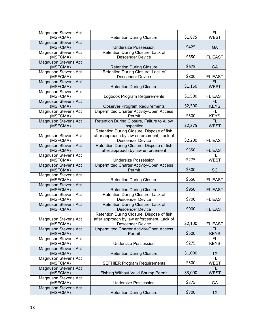| <b>Magnuson Stevens Act</b>             |                                                                                |         | FL.                      |
|-----------------------------------------|--------------------------------------------------------------------------------|---------|--------------------------|
| (MSFCMA)                                | <b>Retention During Closure</b>                                                | \$1,875 | <b>WEST</b>              |
| <b>Magnuson Stevens Act</b><br>(MSFCMA) | <b>Undersize Possession</b>                                                    | \$425   | GA                       |
| <b>Magnuson Stevens Act</b>             | Retention During Closure, Lack of                                              |         |                          |
| (MSFCMA)                                | <b>Descender Device</b>                                                        | \$550   | <b>FL EAST</b>           |
| <b>Magnuson Stevens Act</b><br>(MSFCMA) | <b>Retention During Closure</b>                                                | \$675   | <b>GA</b>                |
| <b>Magnuson Stevens Act</b>             | Retention During Closure, Lack of                                              |         |                          |
| (MSFCMA)                                | <b>Descender Device</b>                                                        | \$800   | <b>FL EAST</b>           |
| <b>Magnuson Stevens Act</b>             |                                                                                |         | <b>FL</b>                |
| (MSFCMA)                                | <b>Retention During Closure</b>                                                | \$1,150 | <b>WEST</b>              |
| <b>Magnuson Stevens Act</b><br>(MSFCMA) | Logbook Program Requirements                                                   | \$1,500 | <b>FL EAST</b>           |
| <b>Magnuson Stevens Act</b>             |                                                                                |         | <b>FL</b>                |
| (MSFCMA)                                | <b>Observer Program Requirements</b>                                           | \$2,500 | <b>KEYS</b>              |
| <b>Magnuson Stevens Act</b><br>(MSFCMA) | <b>Unpermitted Charter Activity-Open Access</b><br>Permit                      | \$500   | FL.<br><b>KEYS</b>       |
| <b>Magnuson Stevens Act</b>             | Retention During Closure, Failure to Allow                                     |         | FL                       |
| (MSFCMA)                                | Inspection                                                                     | \$2,375 | <b>WEST</b>              |
|                                         | Retention During Closure, Dispose of fish                                      |         |                          |
| <b>Magnuson Stevens Act</b>             | after approach by law enforcement, Lack of                                     |         |                          |
| (MSFCMA)                                | <b>Descender Device</b>                                                        | \$2,200 | <b>FL EAST</b>           |
| <b>Magnuson Stevens Act</b><br>(MSFCMA) | Retention During Closure, Dispose of fish<br>after approach by law enforcement | \$550   | <b>FL EAST</b>           |
| <b>Magnuson Stevens Act</b>             |                                                                                |         | <b>FL</b>                |
| (MSFCMA)                                | <b>Undersize Possession</b>                                                    | \$275   | <b>WEST</b>              |
| <b>Magnuson Stevens Act</b>             | <b>Unpermitted Charter Activity-Open Access</b>                                |         |                          |
| (MSFCMA)                                | Permit                                                                         | \$500   | <b>SC</b>                |
| <b>Magnuson Stevens Act</b>             |                                                                                |         |                          |
| (MSFCMA)<br><b>Magnuson Stevens Act</b> | <b>Retention During Closure</b>                                                | \$650   | <b>FL EAST</b>           |
| (MSFCMA)                                | <b>Retention During Closure</b>                                                | \$950   | <b>FL EAST</b>           |
| <b>Magnuson Stevens Act</b>             | Retention During Closure, Lack of                                              |         |                          |
| (MSFCMA)                                | <b>Descender Device</b>                                                        | \$700   | <b>FL EAST</b>           |
| <b>Magnuson Stevens Act</b>             | Retention During Closure, Lack of                                              |         |                          |
| (MSFCMA)                                | <b>Descender Device</b>                                                        | \$900   | <b>FL EAST</b>           |
|                                         | Retention During Closure, Dispose of fish                                      |         |                          |
| Magnuson Stevens Act                    | after approach by law enforcement, Lack of                                     |         |                          |
| (MSFCMA)                                | <b>Descender Device</b>                                                        | \$2,100 | <b>FL EAST</b>           |
| <b>Magnuson Stevens Act</b><br>(MSFCMA) | <b>Unpermitted Charter Activity-Open Access</b><br>Permit                      | \$500   | FL                       |
| <b>Magnuson Stevens Act</b>             |                                                                                |         | <b>KEYS</b><br>FL        |
| (MSFCMA)                                | <b>Undersize Possession</b>                                                    | \$275   | <b>KEYS</b>              |
| <b>Magnuson Stevens Act</b>             |                                                                                |         |                          |
| (MSFCMA)                                | <b>Retention During Closure</b>                                                | \$1,000 | TX                       |
| Magnuson Stevens Act                    |                                                                                |         | <b>FL</b>                |
| (MSFCMA)                                | <b>SEFHIER Program Requirements</b>                                            | \$500   | <b>WEST</b>              |
| <b>Magnuson Stevens Act</b><br>(MSFCMA) | <b>Fishing Without Valid Shrimp Permit</b>                                     | \$3,000 | <b>FL</b><br><b>WEST</b> |
| <b>Magnuson Stevens Act</b>             |                                                                                |         |                          |
| (MSFCMA)                                |                                                                                |         |                          |
|                                         | <b>Undersize Possession</b>                                                    | \$375   | GA                       |
| <b>Magnuson Stevens Act</b><br>(MSFCMA) | <b>Retention During Closure</b>                                                | \$700   | <b>TX</b>                |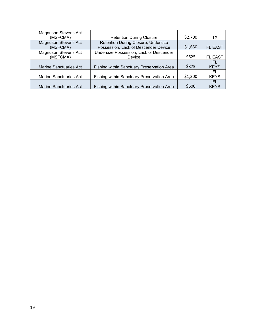| <b>Magnuson Stevens Act</b>             |                                                                             |         |                    |
|-----------------------------------------|-----------------------------------------------------------------------------|---------|--------------------|
| (MSFCMA)                                | <b>Retention During Closure</b>                                             | \$2,700 | ТX                 |
| <b>Magnuson Stevens Act</b><br>(MSFCMA) | Retention During Closure, Undersize<br>Possession, Lack of Descender Device | \$1,650 | <b>FL EAST</b>     |
| <b>Magnuson Stevens Act</b><br>(MSFCMA) | Undersize Possession, Lack of Descender<br>Device                           | \$625   | <b>FL EAST</b>     |
| <b>Marine Sanctuaries Act</b>           | Fishing within Sanctuary Preservation Area                                  | \$875   | FL.<br><b>KEYS</b> |
| Marine Sanctuaries Act                  | Fishing within Sanctuary Preservation Area                                  | \$1,300 | EL.<br><b>KEYS</b> |
| <b>Marine Sanctuaries Act</b>           | <b>Fishing within Sanctuary Preservation Area</b>                           | \$600   | FL<br><b>KEYS</b>  |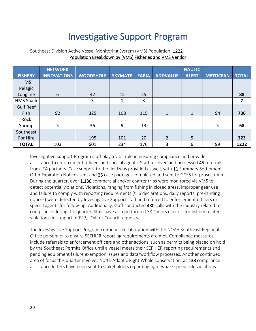## Investigative Support Program

|                  | <b>NETWORK</b>     |                  |                |              |                 | <b>NAUTIC</b> |                 |                |
|------------------|--------------------|------------------|----------------|--------------|-----------------|---------------|-----------------|----------------|
| <b>FISHERY</b>   | <b>INNOVATIONS</b> | <b>WOODSHOLE</b> | <b>SKYMATE</b> | <b>FARIA</b> | <b>ADDVALUE</b> | <b>ALERT</b>  | <b>METOCEAN</b> | <b>TOTAL</b>   |
| <b>HMS</b>       |                    |                  |                |              |                 |               |                 |                |
| Pelagic          |                    |                  |                |              |                 |               |                 |                |
| Longline         | $6\phantom{1}$     | 42               | 15             | 25           |                 |               |                 | 88             |
| <b>HMS Shark</b> |                    | 3                | 1              | 3            |                 |               |                 | $\overline{7}$ |
| <b>Gulf Reef</b> |                    |                  |                |              |                 |               |                 |                |
| Fish             | 92                 | 325              | 108            | 115          | $\mathbf{1}$    | 1             | 94              | 736            |
| Rock             |                    |                  |                |              |                 |               |                 |                |
| Shrimp           | $5\overline{)}$    | 36               | 9              | 13           |                 |               | 5               | 68             |
| Southeast        |                    |                  |                |              |                 |               |                 |                |
| For Hire         |                    | 195              | 101            | 20           | $\overline{2}$  | 5             |                 | 323            |
| <b>TOTAL</b>     | 103                | 601              | 234            | 176          | 3               | 6             | 99              | 1222           |

#### <span id="page-20-0"></span>Southeast Division Active Vessel Monitoring System (VMS) Population: 1222 Population Breakdown by (VMS) Fisheries and VMS Vendor

Investigative Support Program staff play a vital role in ensuring compliance and provide assistance to enforcement officers and special agents. Staff received and processed 45 referrals from JEA partners. Case support to the field was provided as well, with 11 Summary Settlement Offer Expiration Notices sent and 25 case packages completed and sent to GCES for prosecution. During the quarter, over 1,136 commercial and/or charter trips were monitored via VMS to detect potential violations. Violations, ranging from fishing in closed areas, improper gear use and failure to comply with reporting requirements (trip declarations, daily reports, pre-landing notices) were detected by Investigative Support staff and referred to enforcement officers or special agents for follow-up. Additionally, staff conducted 480 calls with the industry related to compliance during the quarter. Staff have also performed 38 "priors checks" for fishery related violations, in support of EFP, LOA, or Council requests

The Investigative Support Program continues collaboration with the NOAA Southeast Regional Office personnel to ensure SEFHIER reporting requirements are met. Compliance measures include referrals to enforcement officers and other actions, such as permits being placed on hold by the Southeast Permits Office until a vessel meets their SEFHIER reporting requirements and pending equipment failure exemption issues and data/workflow processes. Another continued area of focus this quarter involves North Atlantic Right Whale conservation, as 138 compliance assistance letters have been sent to stakeholders regarding right whale speed rule violations.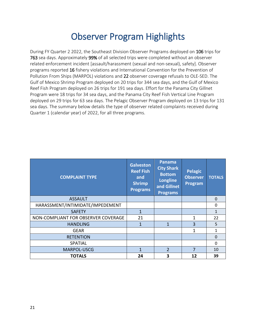### Observer Program Highlights

<span id="page-21-0"></span>During FY Quarter 2 2022, the Southeast Division Observer Programs deployed on 106 trips for 763 sea days. Approximately 99% of all selected trips were completed without an observer related enforcement incident [assault/harassment (sexual and non-sexual), safety]. Observer programs reported 16 fishery violations and International Convention for the Prevention of Pollution From Ships (MARPOL) violations and 22 observer coverage refusals to OLE-SED. The Gulf of Mexico Shrimp Program deployed on 20 trips for 344 sea days, and the Gulf of Mexico Reef Fish Program deployed on 26 trips for 191 sea days. Effort for the Panama City Gillnet Program were 18 trips for 34 sea days, and the Panama City Reef Fish Vertical Line Program deployed on 29 trips for 63 sea days. The Pelagic Observer Program deployed on 13 trips for 131 sea days. The summary below details the type of observer related complaints received during Quarter 1 (calendar year) of 2022, for all three programs.

| <b>COMPLAINT TYPE</b>               | <b>Galveston</b><br><b>Reef Fish</b><br>and<br><b>Shrimp</b><br><b>Programs</b> | Panama<br><b>City Shark</b><br><b>Bottom</b><br><b>Longline</b><br>and Gillnet<br><b>Programs</b> | <b>Pelagic</b><br><b>Observer</b><br>Program | <b>TOTALS</b> |
|-------------------------------------|---------------------------------------------------------------------------------|---------------------------------------------------------------------------------------------------|----------------------------------------------|---------------|
| <b>ASSAULT</b>                      |                                                                                 |                                                                                                   |                                              | $\Omega$      |
| HARASSMENT/INTIMIDATE/IMPEDEMENT    |                                                                                 |                                                                                                   |                                              | 0             |
| <b>SAFETY</b>                       | 1                                                                               |                                                                                                   |                                              | 1             |
| NON-COMPLIANT FOR OBSERVER COVERAGE | 21                                                                              |                                                                                                   | 1                                            | 22            |
| <b>HANDLING</b>                     | $\mathbf 1$                                                                     | 1                                                                                                 | 3                                            | 5             |
| <b>GEAR</b>                         |                                                                                 |                                                                                                   | 1                                            | 1             |
| <b>RETENTION</b>                    |                                                                                 |                                                                                                   |                                              | $\Omega$      |
| <b>SPATIAL</b>                      |                                                                                 |                                                                                                   |                                              | $\Omega$      |
| MARPOL-USCG                         | 1                                                                               | $\mathcal{P}$                                                                                     | 7                                            | 10            |
| <b>TOTALS</b>                       | 24                                                                              | 3                                                                                                 | 12                                           | 39            |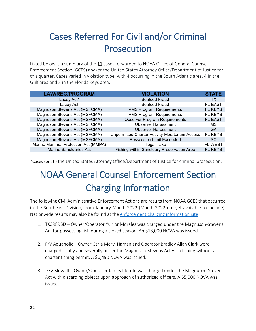# <span id="page-22-0"></span>Cases Referred For Civil and/or Criminal Prosecution

Listed below is a summary of the 11 cases forwarded to NOAA Office of General Counsel Enforcement Section (GCES) and/or the United States Attorney Office/Department of Justice for this quarter. Cases varied in violation type, with 4 occurring in the South Atlantic area, 4 in the Gulf area and 3 in the Florida Keys area.

| <b>LAW/REG/PROGRAM</b>              | <b>VIOLATION</b>                                      | <b>STATE</b>   |
|-------------------------------------|-------------------------------------------------------|----------------|
| Lacey Act*                          | Seafood Fraud                                         | <b>TX</b>      |
| Lacey Act                           | Seafood Fraud                                         | <b>FL EAST</b> |
| Magnuson Stevens Act (MSFCMA)       | <b>VMS Program Requirements</b>                       | <b>FL KEYS</b> |
| Magnuson Stevens Act (MSFCMA)       | <b>VMS Program Requirements</b>                       | FL KEYS        |
| Magnuson Stevens Act (MSFCMA)       | <b>Observer Program Requirements</b>                  | <b>FL EAST</b> |
| Magnuson Stevens Act (MSFCMA)       | <b>Observer Harassment</b>                            | MS             |
| Magnuson Stevens Act (MSFCMA)       | <b>Observer Harassment</b>                            | GA             |
| Magnuson Stevens Act (MSFCMA)       | <b>Unpermitted Charter Activity-Moratorium Access</b> | <b>FL KEYS</b> |
| Magnuson Stevens Act (MSFCMA)       | <b>Possession Limit Exceeded</b>                      | <b>SC</b>      |
| Marine Mammal Protection Act (MMPA) | <b>Illegal Take</b>                                   | <b>FL WEST</b> |
| <b>Marine Sanctuaries Act</b>       | Fishing within Sanctuary Preservation Area            | <b>FL KEYS</b> |

<span id="page-22-1"></span>\*Cases sent to the United States Attorney Office/Department of Justice for criminal prosecution.

# NOAA General Counsel Enforcement Section Charging Information

The following Civil Administrative Enforcement Actions are results from NOAA GCES that occurred in the Southeast Division, from January-March 2022 (March 2022 not yet available to include). Nationwide results may also be found at the [enforcement charging information site](https://www.gc.noaa.gov/enforce-office7.html)

- 1. TX3989BD Owner/Operator Yunior Morales was charged under the Magnuson-Stevens Act for possessing fish during a closed season. An \$18,000 NOVA was issued.
- 2. F/V Aquaholic Owner Carla Meryl Haman and Operator Bradley Allan Clark were charged jointly and severally under the Magnuson-Stevens Act with fishing without a charter fishing permit. A \$6,490 NOVA was issued.
- 3. F/V Blow III Owner/Operator James Plouffe was charged under the Magnuson-Stevens Act with discarding objects upon approach of authorized officers. A \$5,000 NOVA was issued.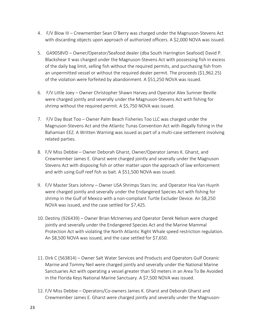- 4. F/V Blow III Crewmember Sean O'Berry was charged under the Magnuson-Stevens Act with discarding objects upon approach of authorized officers. A \$2,000 NOVA was issued.
- 5. GA9058VD Owner/Operator/Seafood dealer (dba South Harrington Seafood) David P. Blackshear II was charged under the Magnuson-Stevens Act with possessing fish in excess of the daily bag limit, selling fish without the required permits, and purchasing fish from an unpermitted vessel or without the required dealer permit. The proceeds (\$1,962.25) of the violation were forfeited by abandonment. A \$51,250 NOVA was issued.
- 6. F/V Little Joey Owner Christopher Shawn Harvey and Operator Alex Sumner Beville were charged jointly and severally under the Magnuson-Stevens Act with fishing for shrimp without the required permit. A \$5,750 NOVA was issued.
- 7. F/V Day Boat Too Owner Palm Beach Fisheries Too LLC was charged under the Magnuson-Stevens Act and the Atlantic Tunas Convention Act with illegally fishing in the Bahamian EEZ. A Written Warning was issued as part of a multi-case settlement involving related parties.
- 8. F/V Miss Debbie Owner Deborah Gharst, Owner/Operator James K. Gharst, and Crewmember James E. Gharst were charged jointly and severally under the Magnuson Stevens Act with disposing fish or other matter upon the approach of law enforcement and with using Gulf reef fish as bait. A \$51,500 NOVA was issued.
- 9. F/V Master Stars Johnny Owner USA Shrimps Stars Inc. and Operator Hoa Van Huynh were charged jointly and severally under the Endangered Species Act with fishing for shrimp in the Gulf of Mexico with a non-compliant Turtle Excluder Device. An \$8,250 NOVA was issued, and the case settled for \$7,425.
- 10. Destiny (926439) Owner Brian McInerney and Operator Derek Nelson were charged jointly and severally under the Endangered Species Act and the Marine Mammal Protection Act with violating the North Atlantic Right Whale speed restriction regulation. An \$8,500 NOVA was issued, and the case settled for \$7,650.
- 11. Dirk C (563814) Owner Salt Water Services and Products and Operators Gulf Oceanic Marine and Tommy Neil were charged jointly and severally under the National Marine Sanctuaries Act with operating a vessel greater than 50 meters in an Area To Be Avoided in the Florida Keys National Marine Sanctuary. A \$7,500 NOVA was issued.
- 12. F/V Miss Debbie Operators/Co-owners James K. Gharst and Deborah Gharst and Crewmember James E. Gharst were charged jointly and severally under the Magnuson-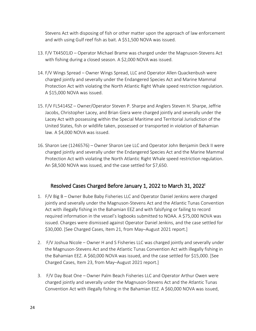Stevens Act with disposing of fish or other matter upon the approach of law enforcement and with using Gulf reef fish as bait. A \$51,500 NOVA was issued.

- 13. F/V TX4501JD Operator Michael Brame was charged under the Magnuson-Stevens Act with fishing during a closed season. A \$2,000 NOVA was issued.
- 14. F/V Wings Spread Owner Wings Spread, LLC and Operator Allen Quackenbush were charged jointly and severally under the Endangered Species Act and Marine Mammal Protection Act with violating the North Atlantic Right Whale speed restriction regulation. A \$15,000 NOVA was issued.
- 15. F/V FL5414SZ Owner/Operator Steven P. Sharpe and Anglers Steven H. Sharpe, Jeffrie Jacobs, Christopher Lacey, and Brian Giera were charged jointly and severally under the Lacey Act with possessing within the Special Maritime and Territorial Jurisdiction of the United States, fish or wildlife taken, possessed or transported in violation of Bahamian law. A \$4,000 NOVA was issued.
- 16. Sharon Lee (1246576) Owner Sharon Lee LLC and Operator John Benjamin Deck II were charged jointly and severally under the Endangered Species Act and the Marine Mammal Protection Act with violating the North Atlantic Right Whale speed restriction regulation. An \$8,500 NOVA was issued, and the case settled for \$7,650.

#### Resolved Cases Charged Before January 1, 2022 to March 31, 2022<sup>i</sup>

- 1. F/V Big B Owner Bube Baby Fisheries LLC and Operator Daniel Jenkins were charged jointly and severally under the Magnuson-Stevens Act and the Atlantic Tunas Convention Act with illegally fishing in the Bahamian EEZ and with falsifying or failing to record required information in the vessel's logbooks submitted to NOAA. A \$75,000 NOVA was issued. Charges were dismissed against Operator Daniel Jenkins, and the case settled for \$30,000. [See Charged Cases, Item 21, from May–August 2021 report.]
- 2. F/V Joshua Nicole Owner H and S Fisheries LLC was charged jointly and severally under the Magnuson-Stevens Act and the Atlantic Tunas Convention Act with illegally fishing in the Bahamian EEZ. A \$60,000 NOVA was issued, and the case settled for \$15,000. [See Charged Cases, Item 23, from May–August 2021 report.]
- 3. F/V Day Boat One Owner Palm Beach Fisheries LLC and Operator Arthur Owen were charged jointly and severally under the Magnuson-Stevens Act and the Atlantic Tunas Convention Act with illegally fishing in the Bahamian EEZ. A \$60,000 NOVA was issued,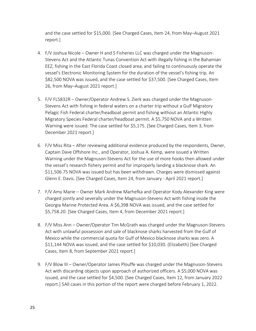and the case settled for \$15,000. [See Charged Cases, Item 24, from May–August 2021 report.]

- 4. F/V Joshua Nicole Owner H and S Fisheries LLC was charged under the Magnuson-Stevens Act and the Atlantic Tunas Convention Act with illegally fishing in the Bahamian EEZ, fishing in the East Florida Coast closed area, and failing to continuously operate the vessel's Electronic Monitoring System for the duration of the vessel's fishing trip. An \$82,500 NOVA was issued, and the case settled for \$37,500. [See Charged Cases, Item 26, from May–August 2021 report.]
- 5. F/V FL5832R Owner/Operator Andrew S. Zierk was charged under the Magnuson-Stevens Act with fishing in federal waters on a charter trip without a Gulf Migratory Pelagic Fish Federal charter/headboat permit and fishing without an Atlantic Highly Migratory Species Federal charter/headboat permit. A \$5,750 NOVA and a Written Warning were issued. The case settled for \$5,175. [See Charged Cases, Item 3, from December 2021 report.]
- 6. F/V Miss Rita After reviewing additional evidence produced by the respondents, Owner, Captain Dave Offshore Inc., and Operator, Joshua A. Kemp, were issued a Written Warning under the Magnuson-Stevens Act for the use of more hooks then allowed under the vessel's research fishery permit and for improperly landing a blacknose shark. An \$11,506.75 NOVA was issued but has been withdrawn. Charges were dismissed against Glenn E. Davis. [See Charged Cases, Item 24, from January - April 2021 report.]
- 7. F/V Amy Marie Owner Mark Andrew Marhefka and Operator Kody Alexander King were charged jointly and severally under the Magnuson-Stevens Act with fishing inside the Georgia Marine Protected Area. A \$6,398 NOVA was issued, and the case settled for \$5,758.20. [See Charged Cases, Item 4, from December 2021 report.]
- 8. F/V Miss Ann Owner/Operator Tim McGrath was charged under the Magnuson-Stevens Act with unlawful possession and sale of blacknose sharks harvested from the Gulf of Mexico while the commercial quota for Gulf of Mexico blacknose sharks was zero. A \$11,144 NOVA was issued, and the case settled for \$10,030. (Elizabeth) [See Charged Cases, Item 8, from September 2021 report.]
- 9. F/V Blow III Owner/Operator James Plouffe was charged under the Magnuson-Stevens Act with discarding objects upon approach of authorized officers. A \$5,000 NOVA was issued, and the case settled for \$4,500. [See Charged Cases, Item 12, from January 2022 report.] 5All cases in this portion of the report were charged before February 1, 2022.